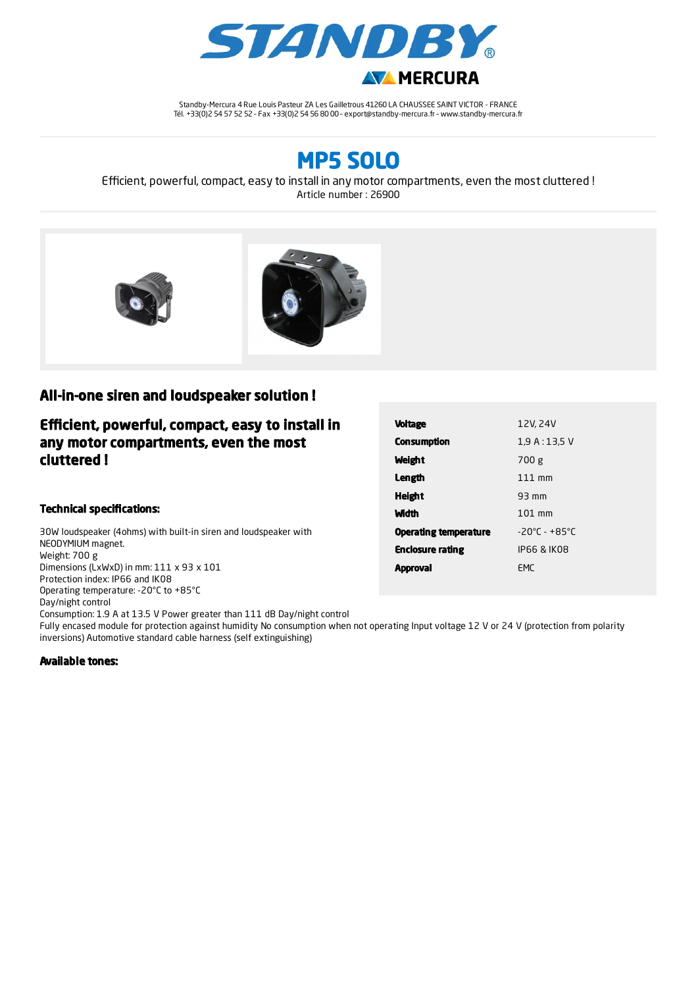

Standby-Mercura 4 Rue Louis Pasteur ZA Les Gailletrous 41260 LA CHAUSSEE SAINT VICTOR - FRANCE Tél. +33(0)2 54 57 52 52 – Fax +33(0)2 54 56 80 00 – export@standby-mercura.fr – www.standby-mercura.fr

MP5 SOLO

Efficient, powerful, compact, easy to install in any motor compartments, even the most cluttered ! Article number : 26900



## All-in-one siren and loudspeaker solution !

Efficient, powerful, compact, easy to install in any motor compartments, even the most cluttered !

## Technical specifications:

30W loudspeaker (4ohms) with built-in siren and loudspeaker with NEODYMIUM magnet. Weight: 700 g Dimensions (LxWxD) in mm: 111 x 93 x 101 Protection index: IP66 and IK08 Operating temperature: -20°C to +85°C Day/night control Consumption: 1.9 A at 13.5 V Power greater than 111 dB Day/night control Fully encased module for protection against humidity No consumption when not operating Input voltage 12 V or 24 V (protection from polarity inversions) Automotive standard cable harness (self extinguishing)

| <b>Voltage</b>               | 12V.24V                           |
|------------------------------|-----------------------------------|
| <b>Consumption</b>           | 1.9A:13.5V                        |
| Weight                       | 700 g                             |
| Length                       | $111 \text{ mm}$                  |
| <b>Height</b>                | 93 mm                             |
| Width                        | $101$ mm                          |
| <b>Operating temperature</b> | $-20^{\circ}$ C - $+85^{\circ}$ C |
| <b>Enclosure rating</b>      | IP66 & IKO8                       |
| Approval                     | <b>FMC</b>                        |

## Available tones: